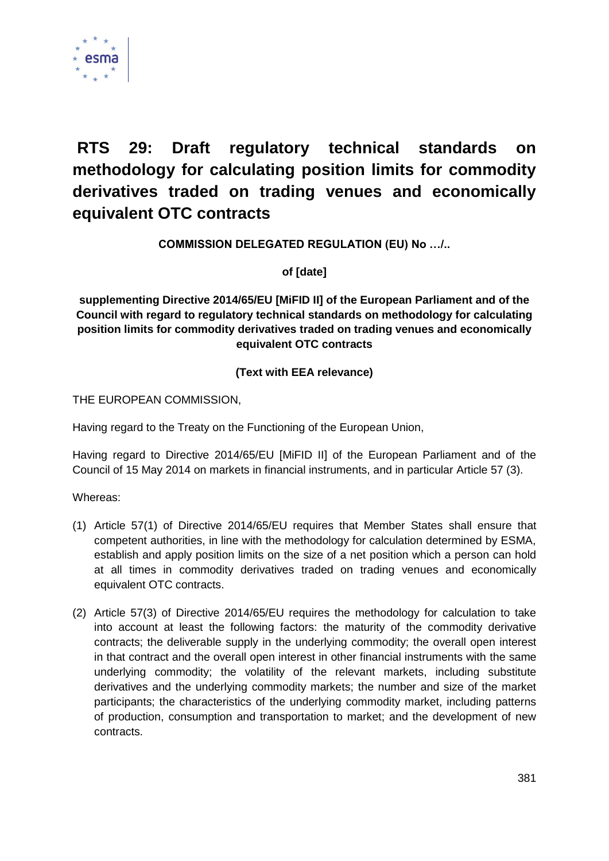

# **RTS 29: Draft regulatory technical standards on methodology for calculating position limits for commodity derivatives traded on trading venues and economically equivalent OTC contracts**

**COMMISSION DELEGATED REGULATION (EU) No …/..**

**of [date]**

**supplementing Directive 2014/65/EU [MiFID II] of the European Parliament and of the Council with regard to regulatory technical standards on methodology for calculating position limits for commodity derivatives traded on trading venues and economically equivalent OTC contracts**

# **(Text with EEA relevance)**

THE EUROPEAN COMMISSION,

Having regard to the Treaty on the Functioning of the European Union,

Having regard to Directive 2014/65/EU [MiFID II] of the European Parliament and of the Council of 15 May 2014 on markets in financial instruments, and in particular Article 57 (3).

Whereas:

- (1) Article 57(1) of Directive 2014/65/EU requires that Member States shall ensure that competent authorities, in line with the methodology for calculation determined by ESMA, establish and apply position limits on the size of a net position which a person can hold at all times in commodity derivatives traded on trading venues and economically equivalent OTC contracts.
- (2) Article 57(3) of Directive 2014/65/EU requires the methodology for calculation to take into account at least the following factors: the maturity of the commodity derivative contracts; the deliverable supply in the underlying commodity; the overall open interest in that contract and the overall open interest in other financial instruments with the same underlying commodity; the volatility of the relevant markets, including substitute derivatives and the underlying commodity markets; the number and size of the market participants; the characteristics of the underlying commodity market, including patterns of production, consumption and transportation to market; and the development of new contracts.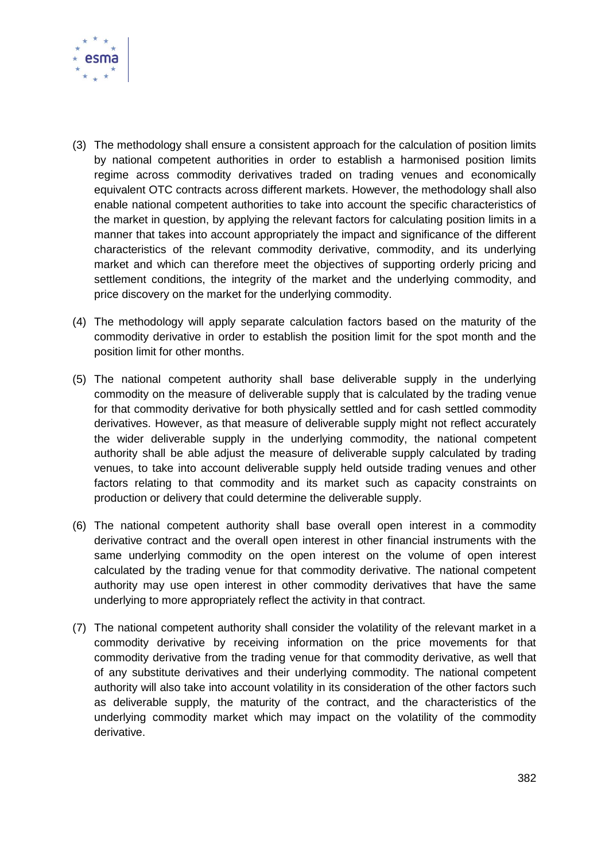

- (3) The methodology shall ensure a consistent approach for the calculation of position limits by national competent authorities in order to establish a harmonised position limits regime across commodity derivatives traded on trading venues and economically equivalent OTC contracts across different markets. However, the methodology shall also enable national competent authorities to take into account the specific characteristics of the market in question, by applying the relevant factors for calculating position limits in a manner that takes into account appropriately the impact and significance of the different characteristics of the relevant commodity derivative, commodity, and its underlying market and which can therefore meet the objectives of supporting orderly pricing and settlement conditions, the integrity of the market and the underlying commodity, and price discovery on the market for the underlying commodity.
- (4) The methodology will apply separate calculation factors based on the maturity of the commodity derivative in order to establish the position limit for the spot month and the position limit for other months.
- (5) The national competent authority shall base deliverable supply in the underlying commodity on the measure of deliverable supply that is calculated by the trading venue for that commodity derivative for both physically settled and for cash settled commodity derivatives. However, as that measure of deliverable supply might not reflect accurately the wider deliverable supply in the underlying commodity, the national competent authority shall be able adjust the measure of deliverable supply calculated by trading venues, to take into account deliverable supply held outside trading venues and other factors relating to that commodity and its market such as capacity constraints on production or delivery that could determine the deliverable supply.
- (6) The national competent authority shall base overall open interest in a commodity derivative contract and the overall open interest in other financial instruments with the same underlying commodity on the open interest on the volume of open interest calculated by the trading venue for that commodity derivative. The national competent authority may use open interest in other commodity derivatives that have the same underlying to more appropriately reflect the activity in that contract.
- (7) The national competent authority shall consider the volatility of the relevant market in a commodity derivative by receiving information on the price movements for that commodity derivative from the trading venue for that commodity derivative, as well that of any substitute derivatives and their underlying commodity. The national competent authority will also take into account volatility in its consideration of the other factors such as deliverable supply, the maturity of the contract, and the characteristics of the underlying commodity market which may impact on the volatility of the commodity derivative.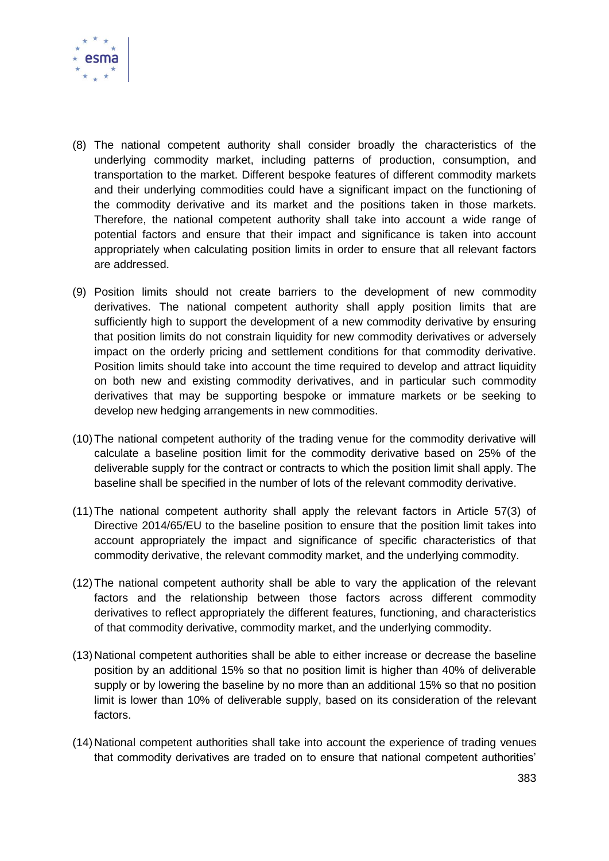

- (8) The national competent authority shall consider broadly the characteristics of the underlying commodity market, including patterns of production, consumption, and transportation to the market. Different bespoke features of different commodity markets and their underlying commodities could have a significant impact on the functioning of the commodity derivative and its market and the positions taken in those markets. Therefore, the national competent authority shall take into account a wide range of potential factors and ensure that their impact and significance is taken into account appropriately when calculating position limits in order to ensure that all relevant factors are addressed.
- (9) Position limits should not create barriers to the development of new commodity derivatives. The national competent authority shall apply position limits that are sufficiently high to support the development of a new commodity derivative by ensuring that position limits do not constrain liquidity for new commodity derivatives or adversely impact on the orderly pricing and settlement conditions for that commodity derivative. Position limits should take into account the time required to develop and attract liquidity on both new and existing commodity derivatives, and in particular such commodity derivatives that may be supporting bespoke or immature markets or be seeking to develop new hedging arrangements in new commodities.
- (10)The national competent authority of the trading venue for the commodity derivative will calculate a baseline position limit for the commodity derivative based on 25% of the deliverable supply for the contract or contracts to which the position limit shall apply. The baseline shall be specified in the number of lots of the relevant commodity derivative.
- (11)The national competent authority shall apply the relevant factors in Article 57(3) of Directive 2014/65/EU to the baseline position to ensure that the position limit takes into account appropriately the impact and significance of specific characteristics of that commodity derivative, the relevant commodity market, and the underlying commodity.
- (12)The national competent authority shall be able to vary the application of the relevant factors and the relationship between those factors across different commodity derivatives to reflect appropriately the different features, functioning, and characteristics of that commodity derivative, commodity market, and the underlying commodity.
- (13) National competent authorities shall be able to either increase or decrease the baseline position by an additional 15% so that no position limit is higher than 40% of deliverable supply or by lowering the baseline by no more than an additional 15% so that no position limit is lower than 10% of deliverable supply, based on its consideration of the relevant factors.
- (14) National competent authorities shall take into account the experience of trading venues that commodity derivatives are traded on to ensure that national competent authorities'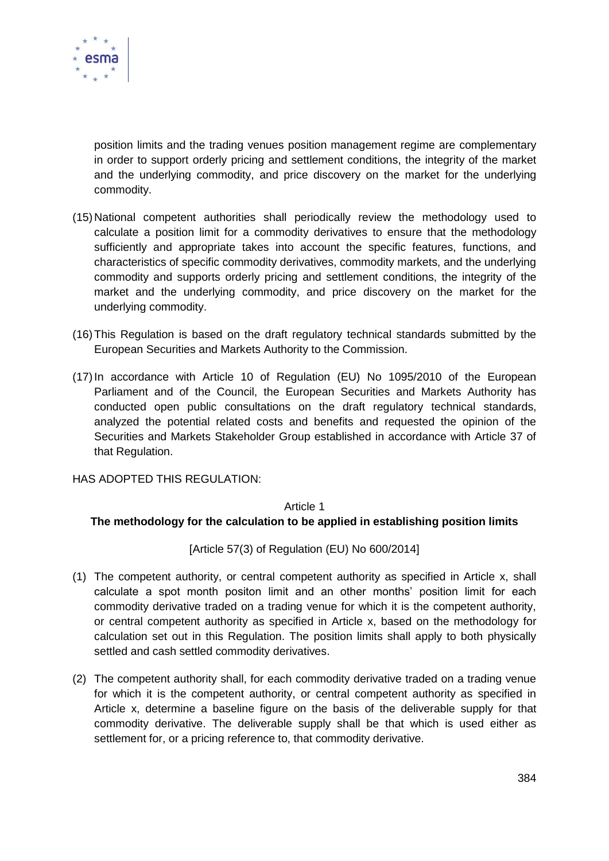

position limits and the trading venues position management regime are complementary in order to support orderly pricing and settlement conditions, the integrity of the market and the underlying commodity, and price discovery on the market for the underlying commodity.

- (15) National competent authorities shall periodically review the methodology used to calculate a position limit for a commodity derivatives to ensure that the methodology sufficiently and appropriate takes into account the specific features, functions, and characteristics of specific commodity derivatives, commodity markets, and the underlying commodity and supports orderly pricing and settlement conditions, the integrity of the market and the underlying commodity, and price discovery on the market for the underlying commodity.
- (16)This Regulation is based on the draft regulatory technical standards submitted by the European Securities and Markets Authority to the Commission.
- (17)In accordance with Article 10 of Regulation (EU) No 1095/2010 of the European Parliament and of the Council, the European Securities and Markets Authority has conducted open public consultations on the draft regulatory technical standards, analyzed the potential related costs and benefits and requested the opinion of the Securities and Markets Stakeholder Group established in accordance with Article 37 of that Regulation.

HAS ADOPTED THIS REGULATION:

#### Article 1

#### **The methodology for the calculation to be applied in establishing position limits**

[Article 57(3) of Regulation (EU) No 600/2014]

- (1) The competent authority, or central competent authority as specified in Article x, shall calculate a spot month positon limit and an other months' position limit for each commodity derivative traded on a trading venue for which it is the competent authority, or central competent authority as specified in Article x, based on the methodology for calculation set out in this Regulation. The position limits shall apply to both physically settled and cash settled commodity derivatives.
- (2) The competent authority shall, for each commodity derivative traded on a trading venue for which it is the competent authority, or central competent authority as specified in Article x, determine a baseline figure on the basis of the deliverable supply for that commodity derivative. The deliverable supply shall be that which is used either as settlement for, or a pricing reference to, that commodity derivative.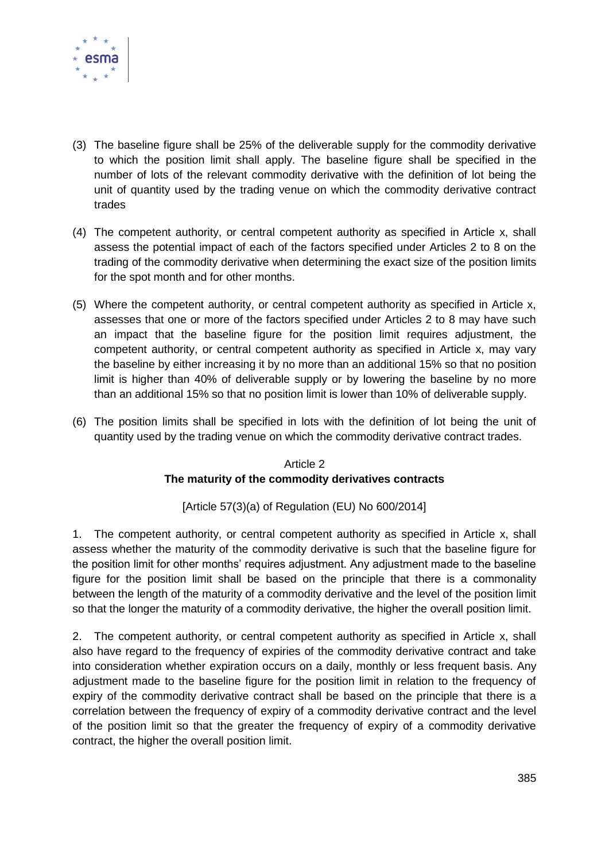

- (3) The baseline figure shall be 25% of the deliverable supply for the commodity derivative to which the position limit shall apply. The baseline figure shall be specified in the number of lots of the relevant commodity derivative with the definition of lot being the unit of quantity used by the trading venue on which the commodity derivative contract trades
- (4) The competent authority, or central competent authority as specified in Article x, shall assess the potential impact of each of the factors specified under Articles 2 to 8 on the trading of the commodity derivative when determining the exact size of the position limits for the spot month and for other months.
- (5) Where the competent authority, or central competent authority as specified in Article x, assesses that one or more of the factors specified under Articles 2 to 8 may have such an impact that the baseline figure for the position limit requires adjustment, the competent authority, or central competent authority as specified in Article x, may vary the baseline by either increasing it by no more than an additional 15% so that no position limit is higher than 40% of deliverable supply or by lowering the baseline by no more than an additional 15% so that no position limit is lower than 10% of deliverable supply.
- (6) The position limits shall be specified in lots with the definition of lot being the unit of quantity used by the trading venue on which the commodity derivative contract trades.

## Article 2 **The maturity of the commodity derivatives contracts**

[Article 57(3)(a) of Regulation (EU) No 600/2014]

1. The competent authority, or central competent authority as specified in Article x, shall assess whether the maturity of the commodity derivative is such that the baseline figure for the position limit for other months' requires adjustment. Any adjustment made to the baseline figure for the position limit shall be based on the principle that there is a commonality between the length of the maturity of a commodity derivative and the level of the position limit so that the longer the maturity of a commodity derivative, the higher the overall position limit.

2. The competent authority, or central competent authority as specified in Article x, shall also have regard to the frequency of expiries of the commodity derivative contract and take into consideration whether expiration occurs on a daily, monthly or less frequent basis. Any adjustment made to the baseline figure for the position limit in relation to the frequency of expiry of the commodity derivative contract shall be based on the principle that there is a correlation between the frequency of expiry of a commodity derivative contract and the level of the position limit so that the greater the frequency of expiry of a commodity derivative contract, the higher the overall position limit.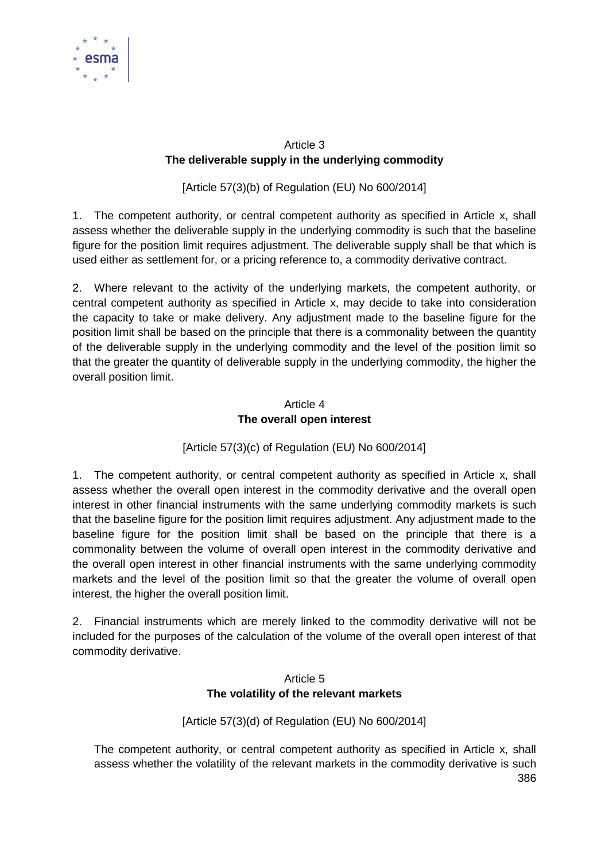

# Article 3 **The deliverable supply in the underlying commodity**

[Article 57(3)(b) of Regulation (EU) No 600/2014]

1. The competent authority, or central competent authority as specified in Article x, shall assess whether the deliverable supply in the underlying commodity is such that the baseline figure for the position limit requires adjustment. The deliverable supply shall be that which is used either as settlement for, or a pricing reference to, a commodity derivative contract.

2. Where relevant to the activity of the underlying markets, the competent authority, or central competent authority as specified in Article x, may decide to take into consideration the capacity to take or make delivery. Any adjustment made to the baseline figure for the position limit shall be based on the principle that there is a commonality between the quantity of the deliverable supply in the underlying commodity and the level of the position limit so that the greater the quantity of deliverable supply in the underlying commodity, the higher the overall position limit.

# Article 4 **The overall open interest**

# [Article 57(3)(c) of Regulation (EU) No 600/2014]

1. The competent authority, or central competent authority as specified in Article x, shall assess whether the overall open interest in the commodity derivative and the overall open interest in other financial instruments with the same underlying commodity markets is such that the baseline figure for the position limit requires adjustment. Any adjustment made to the baseline figure for the position limit shall be based on the principle that there is a commonality between the volume of overall open interest in the commodity derivative and the overall open interest in other financial instruments with the same underlying commodity markets and the level of the position limit so that the greater the volume of overall open interest, the higher the overall position limit.

2. Financial instruments which are merely linked to the commodity derivative will not be included for the purposes of the calculation of the volume of the overall open interest of that commodity derivative.

# Article 5 **The volatility of the relevant markets**

# [Article 57(3)(d) of Regulation (EU) No 600/2014]

386 The competent authority, or central competent authority as specified in Article x, shall assess whether the volatility of the relevant markets in the commodity derivative is such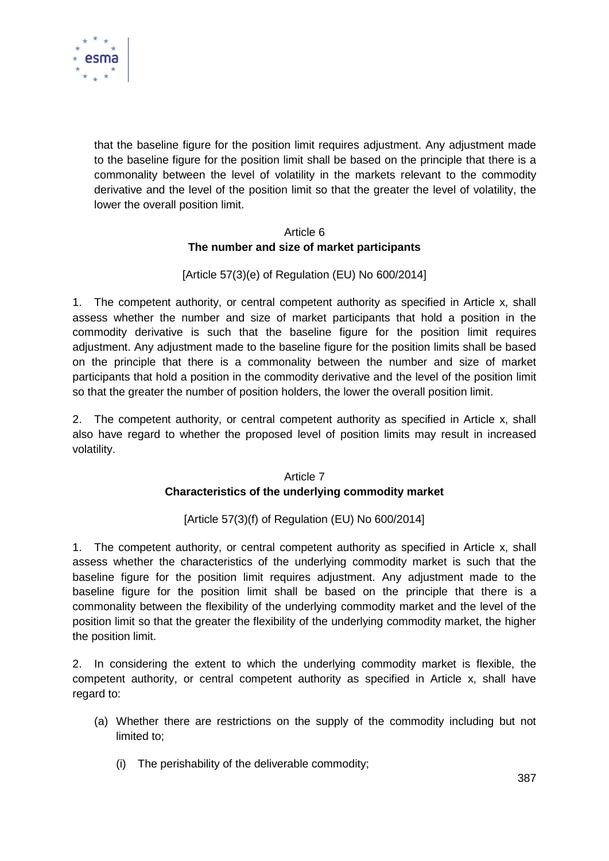

that the baseline figure for the position limit requires adjustment. Any adjustment made to the baseline figure for the position limit shall be based on the principle that there is a commonality between the level of volatility in the markets relevant to the commodity derivative and the level of the position limit so that the greater the level of volatility, the lower the overall position limit.

## Article 6 **The number and size of market participants**

# [Article 57(3)(e) of Regulation (EU) No 600/2014]

1. The competent authority, or central competent authority as specified in Article x, shall assess whether the number and size of market participants that hold a position in the commodity derivative is such that the baseline figure for the position limit requires adjustment. Any adjustment made to the baseline figure for the position limits shall be based on the principle that there is a commonality between the number and size of market participants that hold a position in the commodity derivative and the level of the position limit so that the greater the number of position holders, the lower the overall position limit.

2. The competent authority, or central competent authority as specified in Article x, shall also have regard to whether the proposed level of position limits may result in increased volatility.

# Article 7 **Characteristics of the underlying commodity market**

# [Article 57(3)(f) of Regulation (EU) No 600/2014]

1. The competent authority, or central competent authority as specified in Article x, shall assess whether the characteristics of the underlying commodity market is such that the baseline figure for the position limit requires adjustment. Any adjustment made to the baseline figure for the position limit shall be based on the principle that there is a commonality between the flexibility of the underlying commodity market and the level of the position limit so that the greater the flexibility of the underlying commodity market, the higher the position limit.

2. In considering the extent to which the underlying commodity market is flexible, the competent authority, or central competent authority as specified in Article x, shall have regard to:

- (a) Whether there are restrictions on the supply of the commodity including but not limited to;
	- (i) The perishability of the deliverable commodity;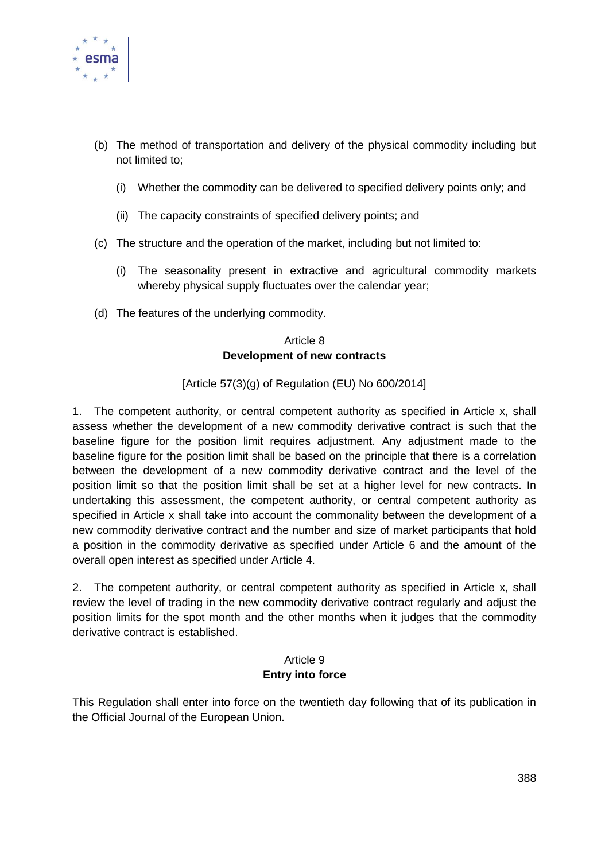

- (b) The method of transportation and delivery of the physical commodity including but not limited to;
	- (i) Whether the commodity can be delivered to specified delivery points only; and
	- (ii) The capacity constraints of specified delivery points; and
- (c) The structure and the operation of the market, including but not limited to:
	- (i) The seasonality present in extractive and agricultural commodity markets whereby physical supply fluctuates over the calendar year;
- (d) The features of the underlying commodity.

# Article 8 **Development of new contracts**

## [Article  $57(3)(q)$  of Regulation (EU) No  $600/2014$ ]

1. The competent authority, or central competent authority as specified in Article x, shall assess whether the development of a new commodity derivative contract is such that the baseline figure for the position limit requires adjustment. Any adjustment made to the baseline figure for the position limit shall be based on the principle that there is a correlation between the development of a new commodity derivative contract and the level of the position limit so that the position limit shall be set at a higher level for new contracts. In undertaking this assessment, the competent authority, or central competent authority as specified in Article x shall take into account the commonality between the development of a new commodity derivative contract and the number and size of market participants that hold a position in the commodity derivative as specified under Article 6 and the amount of the overall open interest as specified under Article 4.

2. The competent authority, or central competent authority as specified in Article x, shall review the level of trading in the new commodity derivative contract regularly and adjust the position limits for the spot month and the other months when it judges that the commodity derivative contract is established.

#### Article 9 **Entry into force**

This Regulation shall enter into force on the twentieth day following that of its publication in the Official Journal of the European Union.